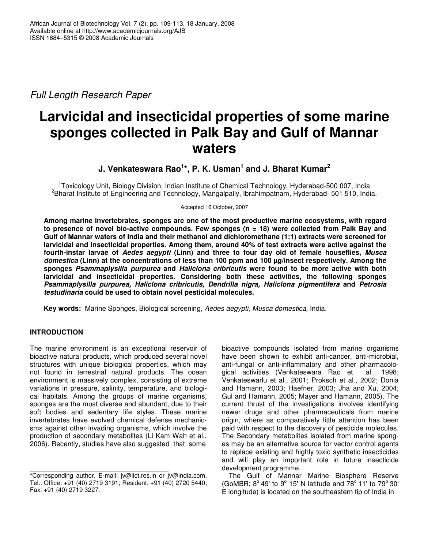*Full Length Research Paper*

# **Larvicidal and insecticidal properties of some marine sponges collected in Palk Bay and Gulf of Mannar waters**

**J. Venkateswara Rao 1 \*, P. K. Usman 1 and J. Bharat Kumar 2**

<sup>1</sup>Toxicology Unit, Biology Division, Indian Institute of Chemical Technology, Hyderabad-500 007, India <sup>2</sup>Bharat Institute of Engineering and Technology, Mangalpally, Ibrahimpatnam, Hyderabad- 501 510, India.

Accepted 16 October, 2007

**Among marine invertebrates, sponges are one of the most productive marine ecosystems, with regard to presence of novel bio-active compounds. Few sponges (n = 18) were collected from Palk Bay and Gulf of Mannar waters of India and their methanol and dichloromethane (1:1) extracts were screened for larvicidal and insecticidal properties. Among them, around 40% of test extracts were active against the fourth-instar larvae of** *Aedes aegypti* **(Linn) and three to four day old of female houseflies,** *Musca domestica* **(Linn) at the concentrations of less than 100 ppm and 100 µg/insect respectively. Among the sponges** *Psammaplysilla purpurea* **and** *Haliclona cribricutis* **were found to be more active with both larvicidal and insecticidal properties. Considering both these activities, the following sponges** *Psammaplysilla purpurea, Haliclona cribricutis, Dendrilla nigra, Haliclona pigmentifera* **and** *Petrosia testudinaria* **could be used to obtain novel pesticidal molecules.**

**Key words:** Marine Sponges, Biological screening, *Aedes aegypti, Musca domestica,* India.

# **INTRODUCTION**

The marine environment is an exceptional reservoir of bioactive natural products, which produced several novel structures with unique biological properties, which may not found in terrestrial natural products. The ocean environment is massively complex, consisting of extreme variations in pressure, salinity, temperature, and biological habitats. Among the groups of marine organisms, sponges are the most diverse and abundant, due to their soft bodies and sedentary life styles. These marine invertebrates have evolved chemical defense mechanicsms against other invading organisms, which involve the production of secondary metabolites (Li Kam Wah et al., 2006). Recently, studies have also suggested that some

bioactive compounds isolated from marine organisms have been shown to exhibit anti-cancer, anti-microbial, anti-fungal or anti-inflammatory and other pharmacological activities (Venkateswara Rao et Venkateswarlu et al., 2001; Proksch et al., 2002; Donia and Hamann, 2003; Haefner, 2003; Jha and Xu, 2004; Gul and Hamann, 2005; Mayer and Hamann, 2005). The current thrust of the investigations involves identifying newer drugs and other pharmaceuticals from marine origin, where as comparatively little attention has been paid with respect to the discovery of pesticide molecules. The Secondary metabolites isolated from marine sponges may be an alternative source for vector control agents to replace existing and highly toxic synthetic insecticides and will play an important role in future insecticide development programme.

The Gulf of Mannar Marine Biosphere Reserve (GoMBR;  $8^{\circ}$  49' to  $9^{\circ}$  15' N latitude and  $78^{\circ}$  11' to  $79^{\circ}$  30' E longitude) is located on the southeastern tip of India in

<sup>\*</sup>Corresponding author. E-mail: jv@iict.res.in or jv@india.com. Tel.: Office: +91 (40) 2719 3191; Resident: +91 (40) 2720 5440; Fax: +91 (40) 2719 3227.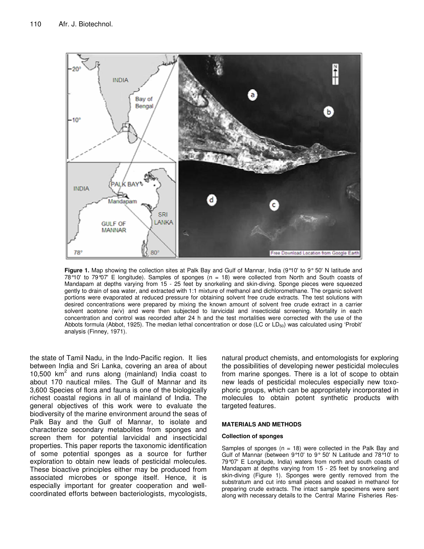

**Figure 1.** Map showing the collection sites at Palk Bay and Gulf of Mannar, India (9°10' to 9° 50' N latitude and 78°10' to 79°07' E longitude). Samples of sponges (n = 18) were collected from North and South coasts of Mandapam at depths varying from 15 - 25 feet by snorkeling and skin-diving. Sponge pieces were squeezed gently to drain of sea water, and extracted with 1:1 mixture of methanol and dichloromethane. The organic solvent portions were evaporated at reduced pressure for obtaining solvent free crude extracts. The test solutions with desired concentrations were prepared by mixing the known amount of solvent free crude extract in a carrier solvent acetone (w/v) and were then subjected to larvicidal and insecticidal screening. Mortality in each concentration and control was recorded after 24 h and the test mortalities were corrected with the use of the Abbots formula (Abbot, 1925). The median lethal concentration or dose (LC or  $LD_{50}$ ) was calculated using 'Probit' analysis (Finney, 1971).

the state of Tamil Nadu, in the Indo-Pacific region. It lies between India and Sri Lanka, covering an area of about 10,500 km 2 and runs along (mainland) India coast to about 170 nautical miles. The Gulf of Mannar and its 3,600 Species of flora and fauna is one of the biologically richest coastal regions in all of mainland of India. The general objectives of this work were to evaluate the biodiversity of the marine environment around the seas of Palk Bay and the Gulf of Mannar, to isolate and characterize secondary metabolites from sponges and screen them for potential larvicidal and insecticidal properties. This paper reports the taxonomic identification of some potential sponges as a source for further exploration to obtain new leads of pesticidal molecules. These bioactive principles either may be produced from associated microbes or sponge itself. Hence, it is especially important for greater cooperation and wellcoordinated efforts between bacteriologists, mycologists,

natural product chemists, and entomologists for exploring the possibilities of developing newer pesticidal molecules from marine sponges. There is a lot of scope to obtain new leads of pesticidal molecules especially new toxophoric groups, which can be appropriately incorporated in molecules to obtain potent synthetic products with targeted features.

#### **MATERIALS AND METHODS**

#### **Collection of sponges**

Samples of sponges ( $n = 18$ ) were collected in the Palk Bay and Gulf of Mannar (between 9°10' to 9° 50' N Latitude and 78°10' to 79°07' E Longitude, India) waters from north and south coasts of Mandapam at depths varying from 15 - 25 feet by snorkeling and skin-diving (Figure 1). Sponges were gently removed from the substratum and cut into small pieces and soaked in methanol for preparing crude extracts. The intact sample specimens were sent along with necessary details to the Central Marine Fisheries Res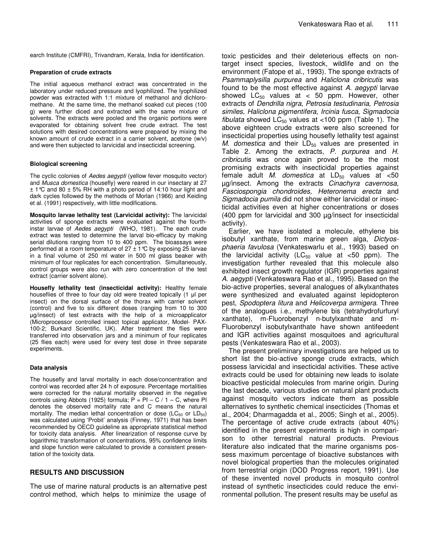earch Institute (CMFRI), Trivandram, Kerala, India for identification.

#### **Preparation of crude extracts**

The initial aqueous methanol extract was concentrated in the laboratory under reduced pressure and lyophilized. The lyophilized powder was extracted with 1:1 mixture of methanol and dichloromethane. At the same time, the methanol soaked cut pieces (100 g) were further diced and extracted with the same mixture of solvents. The extracts were pooled and the organic portions were evaporated for obtaining solvent free crude extract. The test solutions with desired concentrations were prepared by mixing the known amount of crude extract in a carrier solvent, acetone (w/v) and were then subjected to larvicidal and insecticidal screening.

#### **Biological screening**

The cyclic colonies of *Aedes aegypti* (yellow fever mosquito vector) and *Musca domestica* (housefly) were reared in our insectary at 27  $\pm$  1 °C and 80  $\pm$  5% RH with a photo period of 14:10 hour light and dark cycles followed by the methods of Morlan (1966) and Keiding et al. (1991) respectively, with little modifications.

**Mosquito larvae lethality test (Larvicidal activity):** The larvicidal activities of sponge extracts were evaluated against the fourthinstar larvae of *Aedes aegypti* (WHO, 1981). The each crude extract was tested to determine the larval bio-efficacy by making serial dilutions ranging from 10 to 400 ppm. The bioassays were performed at a room temperature of  $27 \pm 1$  °C by exposing 25 larvae in a final volume of 250 ml water in 500 ml glass beaker with minimum of four replicates for each concentration. Simultaneously, control groups were also run with zero concentration of the test extract (carrier solvent alone).

**Housefly lethality test (insecticidal activity):** Healthy female houseflies of three to four day old were treated topically (1 µl per insect) on the dorsal surface of the thorax with carrier solvent (control) and five to six different doses (ranging from 10 to 300 g/insect) of test extracts with the help of a microapplicator (Microprocessor controlled insect topical applicator, Model- PAX-100-2; Burkard Scientific, UK). After treatment the flies were transferred into observation jars and a minimum of four replicates (25 flies each) were used for every test dose in three separate experiments.

#### **Data analysis**

The housefly and larval mortality in each dose/concentration and control was recorded after 24 h of exposure. Percentage mortalities were corrected for the natural mortality observed in the negative controls using Abbots (1925) formula;  $P = PI - C / 1 - C$ , where PI denotes the observed mortality rate and C means the natural mortality. The median lethal concentration or dose  $(LC_{50}$  or  $LD_{50})$ was calculated using 'Probit' analysis (Finney, 1971) that has been recommended by OECD guideline as appropriate statistical method for toxicity data analysis. After linearization of response curve by logarithmic transformation of concentrations, 95% confidence limits and slope function were calculated to provide a consistent presentation of the toxicity data.

## **RESULTS AND DISCUSSION**

The use of marine natural products is an alternative pest control method, which helps to minimize the usage of toxic pesticides and their deleterious effects on nontarget insect species, livestock, wildlife and on the environment (Fatope et al., 1993). The sponge extracts of *Psammaplysilla purpurea* and *Haliclona cribricutis* was found to be the most effective against *A. aegypti* larvae showed  $LC_{50}$  values at < 50 ppm. However, other extracts of *Dendrilla nigra*, *Petrosia testudinaria*, *Petrosia similes*, *Haliclona pigmentifera*, *Ircinia fusca*, *Sigmadocia fibulata* showed  $LC_{50}$  values at <100 ppm (Table 1). The above eighteen crude extracts were also screened for insecticidal properties using housefly lethality test against *M. domestica* and their LD<sub>50</sub> values are presented in Table 2. Among the extracts, *P. purpurea* and *H. cribricutis* was once again proved to be the most promising extracts with insecticidal properties against female adult *M. domestica* at  $LD_{50}$  values at <50 µg/insect. Among the extracts *Cinachyra cavernosa, Fasciospongia chondroides, Heteronema erecta* and *Sigmadocia pumila* did not show either larvicidal or insecticidal activities even at higher concentrations or doses (400 ppm for larvicidal and 300 µg/insect for insecticidal activity).

Earlier, we have isolated a molecule, ethylene bis isobutyl xanthate, from marine green alga, *Dictyosphaeria favulosa* (Venkateswarlu et al., 1993) based on the larvicidal activity (LC $_{50}$  value at <50 ppm). The investigation further revealed that this molecule also exhibited insect growth regulator (IGR) properties against *A. aegypti* (Venkateswara Rao et al., 1995). Based on the bio-active properties, several analogues of alkylxanthates were synthesized and evaluated against lepidopteron pest, *Spodoptera litura* and *Helicoverpa armigera*. Three of the analogues i.e., methylene bis (tetrahydrofurfuryl xanthate), m-Fluorobenzyl n-butylxanthate and m-Fluorobenzyl isobutylxanthate have shown antifeedent and IGR activities against mosquitoes and agricultural pests (Venkateswara Rao et al., 2003).

The present preliminary investigations are helped us to short list the bio-active sponge crude extracts, which possess larvicidal and insecticidal activities. These active extracts could be used for obtaining new leads to isolate bioactive pesticidal molecules from marine origin. During the last decade, various studies on natural plant products against mosquito vectors indicate them as possible alternatives to synthetic chemical insecticides (Thomas et al., 2004; Dharmagadda et al., 2005; Singh et al., 2005). The percentage of active crude extracts (about 40%) identified in the present experiments is high in comparison to other terrestrial natural products. Previous literature also indicated that the marine organisms possess maximum percentage of bioactive substances with novel biological properties than the molecules originated from terrestrial origin (DOD Progress report, 1991). Use of these invented novel products in mosquito control instead of synthetic insecticides could reduce the environmental pollution. The present results may be useful as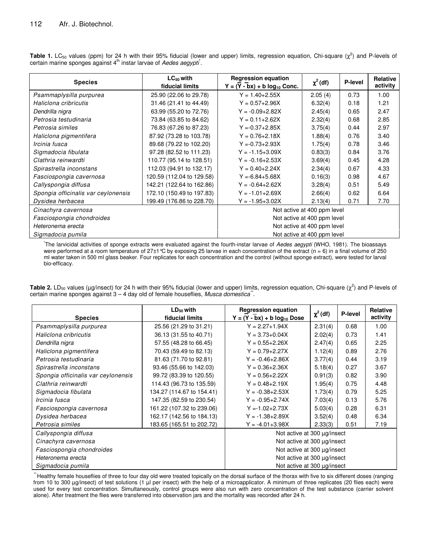| <b>Species</b>                      | $LC_{50}$ with<br>fiducial limits | <b>Regression equation</b><br>$Y = (Y - bx) + b \log_{10}$ Conc. | $\chi^2$ (df) | P-level | Relative<br>activity |  |
|-------------------------------------|-----------------------------------|------------------------------------------------------------------|---------------|---------|----------------------|--|
| Psammaplysilla purpurea             | 25.90 (22.06 to 29.78)            | $Y = 1.40 + 2.55X$                                               | 2.05(4)       | 0.73    | 1.00                 |  |
| Haliclona cribricutis               | 31.46 (21.41 to 44.49)            | $Y = 0.57 + 2.96X$                                               | 6.32(4)       | 0.18    | 1.21                 |  |
| Dendrilla nigra                     | 63.99 (55.20 to 72.76)            | $Y = -0.09 + 2.82X$                                              | 2.45(4)       | 0.65    | 2.47                 |  |
| Petrosia testudinaria               | 73.84 (63.85 to 84.62)            | $Y = 0.11 + 2.62X$                                               | 2.32(4)       | 0.68    | 2.85                 |  |
| Petrosia similes                    | 76.83 (67.26 to 87.23)            | $Y = -0.37 + 2.85X$                                              | 3.75(4)       | 0.44    | 2.97                 |  |
| Haliclona pigmentifera              | 87.92 (73.28 to 103.78)           | $Y = 0.76 + 2.18X$                                               | 1.88(4)       | 0.76    | 3.40                 |  |
| Ircinia fusca                       | 89.68 (79.22 to 102.20)           | $Y = -0.73 + 2.93X$                                              | 1.75(4)       | 0.78    | 3.46                 |  |
| Sigmadocia fibulata                 | 97.28 (82.52 to 111.23)           | $Y = -1.15 + 3.09X$                                              | 0.83(3)       | 0.84    | 3.76                 |  |
| Clathria reinwardti                 | 110.77 (95.14 to 128.51)          | $Y = -0.16 + 2.53X$                                              | 3.69(4)       | 0.45    | 4.28                 |  |
| Spirastrella inconstans             | 112.03 (94.91 to 132.17)          | $Y = 0.40 + 2.24X$                                               | 2.34(4)       | 0.67    | 4.33                 |  |
| Fasciospongia cavernosa             | 120.59 (112.04 to 129.58)         | $Y = -6.84 + 5.68X$                                              | 0.16(3)       | 0.98    | 4.67                 |  |
| Callyspongia diffusa                | 142.21 (122.64 to 162.86)         | $Y = -0.64 + 2.62X$                                              | 3.28(4)       | 0.51    | 5.49                 |  |
| Spongia officinalis var ceylonensis | 172.10 (150.49 to 197.83)         | $Y = -1.01 + 2.69X$                                              | 2.66(4)       | 0.62    | 6.64                 |  |
| Dysidea herbacea                    | 199.49 (176.86 to 228.70)         | $Y = -1.95 + 3.02X$                                              | 2.13(4)       | 0.71    | 7.70                 |  |
| Cinachyra cavernosa                 |                                   | Not active at 400 ppm level                                      |               |         |                      |  |
| Fasciospongia chondroides           |                                   | Not active at 400 ppm level                                      |               |         |                      |  |
| Heteronema erecta                   |                                   | Not active at 400 ppm level                                      |               |         |                      |  |
| Sigmadocia pumila                   |                                   | Not active at 400 ppm level                                      |               |         |                      |  |

**Table 1.** LC<sub>50</sub> values (ppm) for 24 h with their 95% fiducial (lower and upper) limits, regression equation, Chi-square ( $\chi^2$ ) and P-levels of certain marine sponges against 4<sup>th</sup> instar larvae of *Aedes aegypti*.

\* The larvicidal activities of sponge extracts were evaluated against the fourth-instar larvae of *Aedes aegypti* (WHO, 1981). The bioassays were performed at a room temperature of 27±1°C by exposing 25 larvae in each concentration of the extract (n = 6) in a final volume of 250 ml water taken in 500 ml glass beaker. Four replicates for each concentration and the control (without sponge extract), were tested for larval bio-efficacy.

**Table 2.** LD<sub>50</sub> values (µg/insect) for 24 h with their 95% fiducial (lower and upper) limits, regression equation, Chi-square ( $\chi^2$ ) and P-levels of certain marine sponges against 3 - 4 day old of female houseflies, Musca domestica".

| <b>Species</b>                      | $LD_{50}$ with<br><b>fiducial limits</b> | <b>Regression equation</b><br>$Y = (Y - bx) + b \log_{10}$ Dose | $\chi^2$ (df) | P-level | Relative<br>activity |  |
|-------------------------------------|------------------------------------------|-----------------------------------------------------------------|---------------|---------|----------------------|--|
| Psammaplysilla purpurea             | 25.56 (21.29 to 31.21)                   | $Y = 2.27 + 1.94X$                                              | 2.31(4)       | 0.68    | 1.00                 |  |
| Haliclona cribricutis               | 36.13 (31.55 to 40.71)                   | $Y = 3.73 + 0.04X$                                              | 2.02(4)       | 0.73    | 1.41                 |  |
| Dendrilla nigra                     | 57.55 (48.28 to 66.45)                   | $Y = 0.55 + 2.26X$                                              | 2.47(4)       | 0.65    | 2.25                 |  |
| Haliclona pigmentifera              | 70.43 (59.49 to 82.13)                   | $Y = 0.79 + 2.27X$                                              | 1.12(4)       | 0.89    | 2.76                 |  |
| Petrosia testudinaria               | 81.63 (71.70 to 92.81)                   | $Y = -0.46 + 2.86X$                                             | 3.77(4)       | 0.44    | 3.19                 |  |
| Spirastrella inconstans             | 93.46 (55.66 to 142.03)                  | $Y = 0.36 + 2.36X$                                              | 5.18(4)       | 0.27    | 3.67                 |  |
| Spongia officinalis var ceylonensis | 99.72 (83.39 to 120.55)                  | $Y = 0.56 + 2.22X$                                              | 0.91(3)       | 0.82    | 3.90                 |  |
| Clathria reinwardti                 | 114.43 (96.73 to 135.59)                 | $Y = 0.48 + 2.19X$                                              | 1.95(4)       | 0.75    | 4.48                 |  |
| Sigmadocia fibulata                 | 134.27 (114.67 to 154.41)                | $Y = -0.38 + 2.53X$                                             | 1.73(4)       | 0.79    | 5.25                 |  |
| Ircinia fusca                       | 147.35 (82.59 to 230.54)                 | $Y = -0.95 + 2.74X$                                             | 7.03(4)       | 0.13    | 5.76                 |  |
| Fasciospongia cavernosa             | 161.22 (107.32 to 239.06)                | $Y = -1.02 + 2.73X$                                             | 5.03(4)       | 0.28    | 6.31                 |  |
| Dysidea herbacea                    | 162.17 (142.56 to 184.13)                | $Y = -1.38 + 2.89X$                                             | 3.52(4)       | 0.48    | 6.34                 |  |
| Petrosia similes                    | 183.65 (165.51 to 202.72)                | $Y = -4.01 + 3.98X$                                             | 2.33(3)       | 0.51    | 7.19                 |  |
| Callyspongia diffusa                |                                          | Not active at 300 µg/insect                                     |               |         |                      |  |
| Cinachyra cavernosa                 |                                          | Not active at 300 µg/insect                                     |               |         |                      |  |
| Fasciospongia chondroides           |                                          | Not active at 300 µg/insect                                     |               |         |                      |  |
| Heteronema erecta                   | Not active at 300 µg/insect              |                                                                 |               |         |                      |  |
| Sigmadocia pumila                   | Not active at 300 µg/insect              |                                                                 |               |         |                      |  |

*\*\** Healthy female houseflies of three to four day old were treated topically on the dorsal surface of the thorax with five to six different doses (ranging from 10 to 300 µg/insect) of test solutions (1 µl per insect) with the help of a microapplicator. A minimum of three replicates (20 flies each) were used for every test concentration. Simultaneously, control groups were also run with zero concentration of the test substance (carrier solvent alone). After treatment the flies were transferred into observation jars and the mortality was recorded after 24 h.